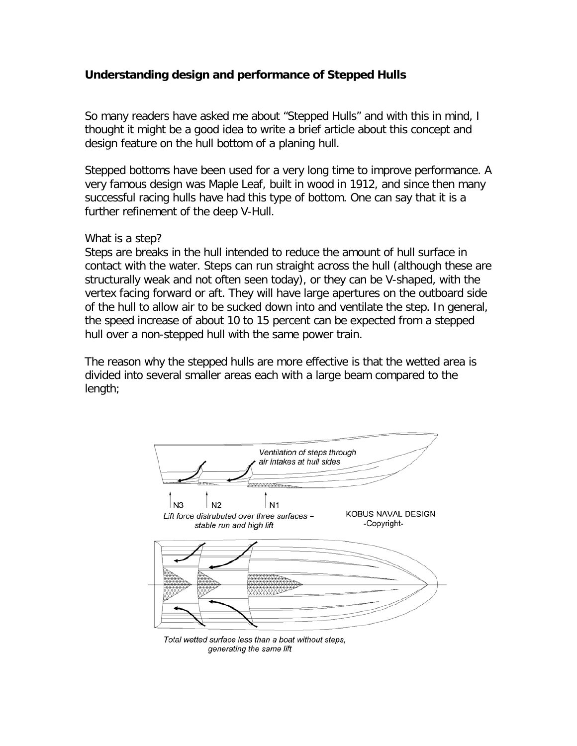# **Understanding design and performance of Stepped Hulls**

So many readers have asked me about "Stepped Hulls" and with this in mind, I thought it might be a good idea to write a brief article about this concept and design feature on the hull bottom of a planing hull.

Stepped bottoms have been used for a very long time to improve performance. A very famous design was Maple Leaf, built in wood in 1912, and since then many successful racing hulls have had this type of bottom. One can say that it is a further refinement of the deep V-Hull.

### What is a step?

Steps are breaks in the hull intended to reduce the amount of hull surface in contact with the water. Steps can run straight across the hull (although these are structurally weak and not often seen today), or they can be V-shaped, with the vertex facing forward or aft. They will have large apertures on the outboard side of the hull to allow air to be sucked down into and ventilate the step. In general, the speed increase of about 10 to 15 percent can be expected from a stepped hull over a non-stepped hull with the same power train.

The reason why the stepped hulls are more effective is that the wetted area is divided into several smaller areas each with a large beam compared to the length;



Total wetted surface less than a boat without steps. generating the same lift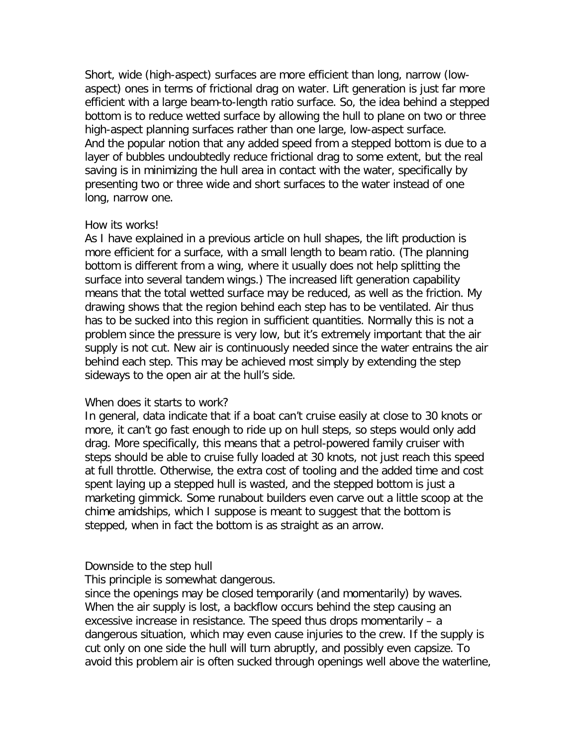Short, wide (high-aspect) surfaces are more efficient than long, narrow (lowaspect) ones in terms of frictional drag on water. Lift generation is just far more efficient with a large beam-to-length ratio surface. So, the idea behind a stepped bottom is to reduce wetted surface by allowing the hull to plane on two or three high-aspect planning surfaces rather than one large, low-aspect surface. And the popular notion that any added speed from a stepped bottom is due to a layer of bubbles undoubtedly reduce frictional drag to some extent, but the real saving is in minimizing the hull area in contact with the water, specifically by presenting two or three wide and short surfaces to the water instead of one long, narrow one.

#### How its works!

As I have explained in a previous article on hull shapes, the lift production is more efficient for a surface, with a small length to beam ratio. (The planning bottom is different from a wing, where it usually does not help splitting the surface into several tandem wings.) The increased lift generation capability means that the total wetted surface may be reduced, as well as the friction. My drawing shows that the region behind each step has to be ventilated. Air thus has to be sucked into this region in sufficient quantities. Normally this is not a problem since the pressure is very low, but it's extremely important that the air supply is not cut. New air is continuously needed since the water entrains the air behind each step. This may be achieved most simply by extending the step sideways to the open air at the hull's side.

## When does it starts to work?

In general, data indicate that if a boat can't cruise easily at close to 30 knots or more, it can't go fast enough to ride up on hull steps, so steps would only add drag. More specifically, this means that a petrol-powered family cruiser with steps should be able to cruise fully loaded at 30 knots, not just reach this speed at full throttle. Otherwise, the extra cost of tooling and the added time and cost spent laying up a stepped hull is wasted, and the stepped bottom is just a marketing gimmick. Some runabout builders even carve out a little scoop at the chime amidships, which I suppose is meant to suggest that the bottom is stepped, when in fact the bottom is as straight as an arrow.

## Downside to the step hull

This principle is somewhat dangerous.

since the openings may be closed temporarily (and momentarily) by waves. When the air supply is lost, a backflow occurs behind the step causing an excessive increase in resistance. The speed thus drops momentarily – a dangerous situation, which may even cause injuries to the crew. If the supply is cut only on one side the hull will turn abruptly, and possibly even capsize. To avoid this problem air is often sucked through openings well above the waterline,